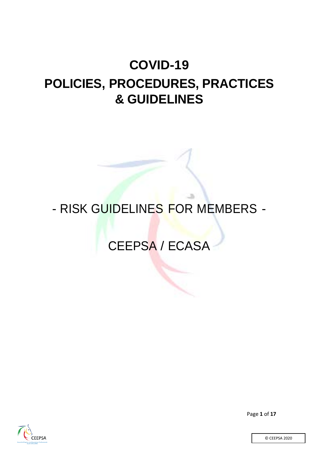# **COVID-19**

# **POLICIES, PROCEDURES, PRACTICES & GUIDELINES**

# - RISK GUIDELINES FOR MEMBERS -

# CEEPSA / ECASA



Page **1** of **17**

© CEEPSA 2020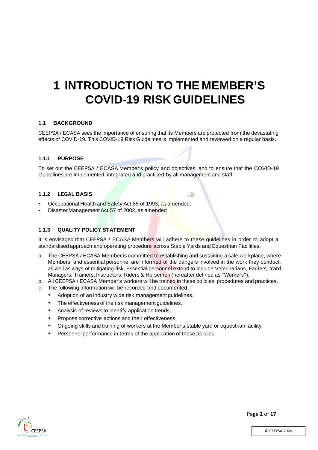# **1 INTRODUCTION TO THE MEMBER'S COVID-19 RISK GUIDELINES**

### **1.1 BACKGROUND**

CEEPSA / ECASA sees the importance of ensuring that its Members are protected from the devastating effects of COVID-19. This COVID-19 Risk Guidelines is implemented and reviewed on a regular basis.

#### **1.1.1 PURPOSE**

To set out the CEEPSA / ECASA Member's policy and objectives, and to ensure that the COVID-19 Guidelines are implemented, integrated and practiced by all management and staff.

b.

#### **1.1.2 LEGAL BASIS**

- Occupational Health and Safety Act 85 of 1993, as amended.
- Disaster Management Act 57 of 2002, as amended

#### **1.1.3 QUALITY POLICY STATEMENT**

It is envisaged that CEEPSA / ECASA Members will adhere to these guidelines in order to adopt a standardised approach and operating procedure across Stable Yards and Equestrian Facilities.

- a. The CEEPSA / ECASA Member is committed to establishing and sustaining a safe workplace, where Members, and essential personnel are informed of the dangers involved in the work they conduct, as well as ways of mitigating risk. Essential personnel extend to include Veterinarians, Farriers, Yard Managers, Trainers, Instructors, Riders & Horsemen (hereafter defined as "Workers").
- b. All CEEPSA / ECASA Member's workers will be trained in these policies, procedures and practices.
- c. The following information will be recorded and documented:
	- Adoption of an industry wide risk management guidelines.
	- The effectiveness of the risk management guidelines.
	- Analysis of reviews to identify application trends.
	- Propose corrective actions and their effectiveness.
	- Ongoing skills and training of workers at the Member's stable yard or equestrian facility.
	- Personnel performance in terms of the application of these policies.



Page **2** of **17**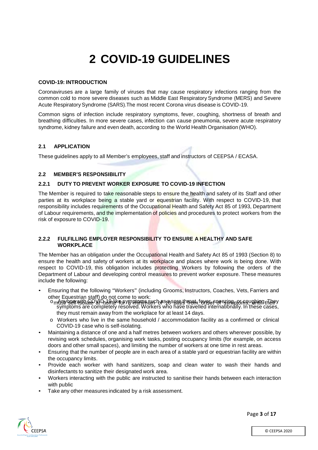# **2 COVID-19 GUIDELINES**

### **COVID-19: INTRODUCTION**

Coronaviruses are a large family of viruses that may cause respiratory infections ranging from the common cold to more severe diseases such as Middle East Respiratory Syndrome (MERS) and Severe Acute RespiratorySyndrome (SARS).The most recent Corona virus disease is COVID-19.

Common signs of infection include respiratory symptoms, fever, coughing, shortness of breath and breathing difficulties. In more severe cases, infection can cause pneumonia, severe acute respiratory syndrome, kidney failure and even death, according to the World Health Organisation (WHO).

#### **2.1 APPLICATION**

These guidelines apply to all Member's employees, staff and instructors of CEEPSA / ECASA.

#### **2.2 MEMBER'S RESPONSIBILITY**

#### **2.2.1 DUTY TO PREVENT WORKER EXPOSURE TO COVID-19 INFECTION**

The Member is required to take reasonable steps to ensure the health and safety of its Staff and other parties at its workplace being a stable yard or equestrian facility. With respect to COVID-19, that responsibility includes requirements of the Occupational Health and Safety Act 85 of 1993, Department of Labour requirements, and the implementation of policies and procedures to protect workers from the risk of exposure to COVID-19.

### **2.2.2 FULFILLING EMPLOYER RESPONSIBILITY TO ENSURE A HEALTHY AND SAFE WORKPLACE**

The Member has an obligation under the Occupational Health and Safety Act 85 of 1993 (Section 8) to ensure the health and safety of workers at its workplace and places where work is being done. With respect to COVID-19, this obligation includes protecting Workers by following the orders of the Department of Labour and developing control measures to prevent worker exposure. These measures include the following:

- Ensuring that the following "Workers" (including Grooms, Instructors, Coaches, Vets, Farriers and other Equestrian staff) do not come to work:
	- ് moby/യുണ്ടു അവളുടെ അവളുടെ അവളുടെ അവളുടെ അവളുടെ അവളുടെ അവളുടെ അവളുടെ അവളുടെ അവളുടെ അവളുടെ രണ്ടു വരുന്നു.<br>Symptoms are completely resolved. Workers who have travelled internationally. In these cases, they must remain away from the workplace for at least 14 days.
	- o Workers who live in the same household / accommodation facility as a confirmed or clinical COVID-19 case who is self-isolating.
- Maintaining a distance of one and a half metres between workers and others wherever possible, by revising work schedules, organising work tasks, posting occupancy limits (for example, on access doors and other small spaces), and limiting the number of workers at one time in rest areas.
- Ensuring that the number of people are in each area of a stable yard or equestrian facility are within the occupancy limits.
- Provide each worker with hand sanitizers, soap and clean water to wash their hands and disinfectants to sanitize their designated work area.
- Workers interacting with the public are instructed to sanitise their hands between each interaction with public
- Take any other measures indicated by a risk assessment.



Page **3** of **17**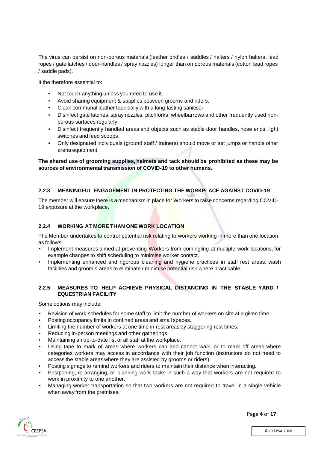The virus can persist on non-porous materials (leather bridles / saddles / halters / nylon halters. lead ropes / gate latches / door-handles / spray nozzles) longer than on porous materials (cotton lead ropes / saddle pads).

It the therefore essential to:

- Not touch anything unless you need to use it.
- Avoid sharing equipment & supplies between grooms and riders.
- Clean communal leather tack daily with a long-lasting sanitiser.
- Disinfect gate latches, spray nozzles, pitchforks, wheelbarrows and other frequently used nonporous surfaces regularly.
- Disinfect frequently handled areas and objects such as stable door handles, hose ends, light switches and feed scoops.
- Only designated individuals (ground staff / trainers) should move or set jumps or handle other arena equipment.

### **The shared use of grooming supplies, helmets and tack should be prohibited as these may be sources of environmental transmission of COVID-19 to other humans.**

# **2.2.3 MEANINGFUL ENGAGEMENT IN PROTECTING THE WORKPLACE AGAINST COVID-19**

The member will ensure there is a mechanism in place for Workers to raise concerns regarding COVID-19 exposure at the workplace.

# **2.2.4 WORKING AT MORE THAN ONE WORK LOCATION**

The Member undertakes to control potential risk relating to workers working in more than one location as follows:

- Implement measures aimed at preventing Workers from comingling at multiple work locations, for example changes to shift scheduling to minimise worker contact.
- Implementing enhanced and rigorous cleaning and hygiene practices in staff rest areas, wash facilities and groom's areas to eliminate / minimise potential risk where practicable.

# **2.2.5 MEASURES TO HELP ACHIEVE PHYSICAL DISTANCING IN THE STABLE YARD / EQUESTRIAN FACILITY**

Some options may include:

- Revision of work schedules for some staff to limit the number of workers on site at a given time.
- Posting occupancy limits in confined areas and small spaces.
- Limiting the number of workers at one time in rest areas by staggering rest times.
- Reducing in-person meetings and other gatherings.
- Maintaining an up-to-date list of all staff at the workplace.
- Using tape to mark of areas where workers can and cannot walk, or to mark off areas where categories workers may access in accordance with their job function (instructors do not need to access the stable areas where they are assisted by grooms or riders).
- Posting signage to remind workers and riders to maintain their distance when interacting.
- Postponing, re-arranging, or planning work tasks in such a way that workers are not required to work in proximity to one another.
- Managing worker transportation so that two workers are not required to travel in a single vehicle when away from the premises.

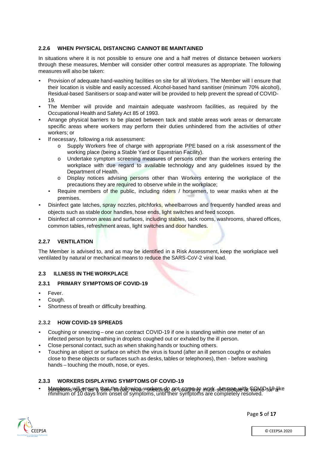# **2.2.6 WHEN PHYSICAL DISTANCING CANNOT BE MAINTAINED**

In situations where it is not possible to ensure one and a half metres of distance between workers through these measures, Member will consider other control measures as appropriate. The following measures will also be taken:

- Provision of adequate hand-washing facilities on site for all Workers. The Member will l ensure that their location is visible and easily accessed. Alcohol-based hand sanitiser (minimum 70% alcohol), Residual-based Sanitisers or soap and water will be provided to help prevent the spread of COVID-19.
- The Member will provide and maintain adequate washroom facilities, as required by the Occupational Health and Safety Act 85 of 1993.
- Arrange physical barriers to be placed between tack and stable areas work areas or demarcate specific areas where workers may perform their duties unhindered from the activities of other workers; or
- If necessary, following a risk assessment:
	- o Supply Workers free of charge with appropriate PPE based on a risk assessment of the working place (being a Stable Yard or Equestrian Facility).
	- o Undertake symptom screening measures of persons other than the workers entering the workplace with due regard to available technology and any guidelines issued by the Department of Health.
	- Display notices advising persons other than Workers entering the workplace of the precautions they are required to observe while in the workplace;
	- Require members of the public, including riders / horsemen, to wear masks when at the premises.
- Disinfect gate latches, spray nozzles, pitchforks, wheelbarrows and frequently handled areas and objects such as stable door handles, hose ends, light switches and feed scoops.
- Disinfect all common areas and surfaces, including stables, tack rooms, washrooms, shared offices, common tables, refreshment areas, light switches and door handles.

# **2.2.7 VENTILATION**

The Member is advised to, and as may be identified in a Risk Assessment, keep the workplace well ventilated by natural or mechanical means to reduce the SARS-CoV-2 viral load.

# **2.3 ILLNESS IN THE WORKPLACE**

# **2.3.1 PRIMARY SYMPTOMS OF COVID-19**

- Fever.
- Cough.
- Shortness of breath or difficulty breathing.

### **2.3.2 HOW COVID-19 SPREADS**

- Coughing or sneezing one can contract COVID-19 if one is standing within one meter of an infected person by breathing in droplets coughed out or exhaled by the ill person.
- Close personal contact, such as when shaking hands or touching others.
- Touching an object or surface on which the virus is found (after an ill person coughs or exhales close to these objects or surfaces such as desks, tables or telephones), then - before washing hands – touching the mouth, nose, or eyes.

# **2.3.3 WORKERS DISPLAYING SYMPTOMS OF COVID-19**

Members will ensure that the rial over workers in one countries wask denverted for the rial price.<br>Ininimum of 10 days from onset of symptoms, until their symptoms are completely resolved.

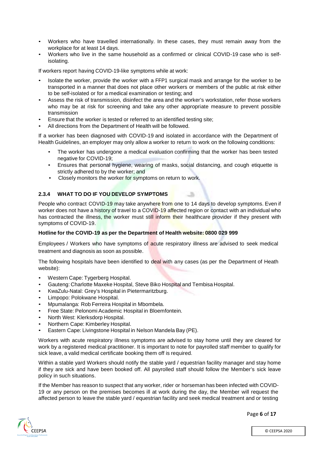- Workers who have travelled internationally. In these cases, they must remain away from the workplace for at least 14 days.
- Workers who live in the same household as a confirmed or clinical COVID-19 case who is selfisolating.

If workers report having COVID-19-like symptoms while at work:

- Isolate the worker, provide the worker with a FFP1 surgical mask and arrange for the worker to be transported in a manner that does not place other workers or members of the public at risk either to be self-isolated or for a medical examination or testing; and
- Assess the risk of transmission, disinfect the area and the worker's workstation, refer those workers who may be at risk for screening and take any other appropriate measure to prevent possible transmission
- Ensure that the worker is tested or referred to an identified testing site;
- All directions from the Department of Health will be followed.

If a worker has been diagnosed with COVID-19 and isolated in accordance with the Department of Health Guidelines, an employer may only allow a worker to return to work on the following conditions:

- The worker has undergone a medical evaluation confirming that the worker has been tested negative for COVID-19;
- Ensures that personal hygiene, wearing of masks, social distancing, and cough etiquette is strictly adhered to by the worker; and
- Closely monitors the worker for symptoms on return to work.

# **2.3.4 WHAT TO DO IF YOU DEVELOP SYMPTOMS**

People who contract COVID-19 may take anywhere from one to 14 days to develop symptoms. Even if worker does not have a history of travel to a COVID-19 affected region or contact with an individual who has contracted the illness, the worker must still inform their healthcare provider if they present with symptoms of COVID-19.

#### **Hotline for the COVID-19 as per the Department of Health website: 0800 029 999**

Employees / Workers who have symptoms of acute respiratory illness are advised to seek medical treatment and diagnosis as soon as possible.

The following hospitals have been identified to deal with any cases (as per the Department of Heath website):

- Western Cape: Tygerberg Hospital.
- Gauteng: Charlotte Maxeke Hospital, Steve Biko Hospital and Tembisa Hospital.
- KwaZulu-Natal: Grey's Hospital in Pietermaritzburg.
- Limpopo: Polokwane Hospital.
- Mpumalanga: Rob Ferreira Hospital in Mbombela.
- Free State: Pelonomi Academic Hospital in Bloemfontein.
- North West: Klerksdorp Hospital.
- Northern Cape: Kimberley Hospital.
- Eastern Cape: Livingstone Hospital in Nelson Mandela Bay (PE).

Workers with acute respiratory illness symptoms are advised to stay home until they are cleared for work by a registered medical practitioner. It is important to note for payrolled staff member to qualify for sick leave, a valid medical certificate booking them off is required.

Within a stable yard Workers should notify the stable yard / equestrian facility manager and stay home if they are sick and have been booked off. All payrolled staff should follow the Member's sick leave policy in such situations.

If the Member has reason to suspect that any worker, rider or horseman has been infected with COVID-19 or any person on the premises becomes ill at work during the day, the Member will request the affected person to leave the stable yard / equestrian facility and seek medical treatment and or testing

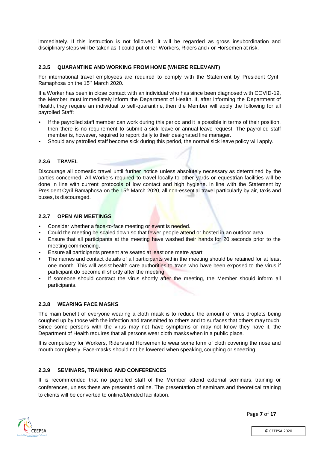immediately. If this instruction is not followed, it will be regarded as gross insubordination and disciplinary steps will be taken as it could put other Workers, Riders and / or Horsemen at risk.

# **2.3.5 QUARANTINE AND WORKING FROM HOME (WHERE RELEVANT)**

For international travel employees are required to comply with the Statement by President Cyril Ramaphosa on the 15<sup>th</sup> March 2020.

If a Worker has been in close contact with an individual who has since been diagnosed with COVID-19, the Member must immediately inform the Department of Health. If, after informing the Department of Health, they require an individual to self-quarantine, then the Member will apply the following for all payrolled Staff:

- If the payrolled staff member can work during this period and it is possible in terms of their position, then there is no requirement to submit a sick leave or annual leave request. The payrolled staff member is, however, required to report daily to their designated line manager.
- Should any patrolled staff become sick during this period, the normal sick leave policy will apply.

### **2.3.6 TRAVEL**

Discourage all domestic travel until further notice unless absolutely necessary as determined by the parties concerned. All Workers required to travel locally to other yards or equestrian facilities will be done in line with current protocols of low contact and high hygiene. In line with the Statement by President Cyril Ramaphosa on the 15<sup>th</sup> March 2020, all non-essential travel particularly by air, taxis and buses, is discouraged.

#### **2.3.7 OPEN AIR MEETINGS**

- Consider whether a face-to-face meeting or event is needed.
- Could the meeting be scaled down so that fewer people attend or hosted in an outdoor area.
- Ensure that all participants at the meeting have washed their hands for 20 seconds prior to the meeting commencing.
- Ensure all participants present are seated at least one metre apart
- The names and contact details of all participants within the meeting should be retained for at least one month. This will assist health care authorities to trace who have been exposed to the virus if participant do become ill shortly after the meeting.
- If someone should contract the virus shortly after the meeting, the Member should inform all participants.

### **2.3.8 WEARING FACE MASKS**

The main benefit of everyone wearing a cloth mask is to reduce the amount of virus droplets being coughed up by those with the infection and transmitted to others and to surfaces that others may touch. Since some persons with the virus may not have symptoms or may not know they have it, the Department of Health requires that all persons wear cloth masks when in a public place.

It is compulsory for Workers, Riders and Horsemen to wear some form of cloth covering the nose and mouth completely. Face-masks should not be lowered when speaking, coughing or sneezing.

### **2.3.9 SEMINARS, TRAINING AND CONFERENCES**

It is recommended that no payrolled staff of the Member attend external seminars, training or conferences, unless these are presented online. The presentation of seminars and theoretical training to clients will be converted to online/blended facilitation.

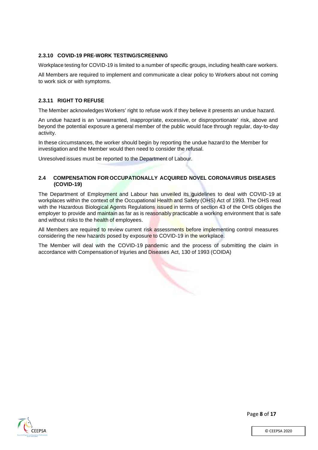### **2.3.10 COVID-19 PRE-WORK TESTING/SCREENING**

Workplace testing for COVID-19 is limited to a number of specific groups, including health care workers.

All Members are required to implement and communicate a clear policy to Workers about not coming to work sick or with symptoms.

# **2.3.11 RIGHT TO REFUSE**

The Member acknowledges Workers' right to refuse work if they believe it presents an undue hazard.

An undue hazard is an 'unwarranted, inappropriate, excessive, or disproportionate' risk, above and beyond the potential exposure a general member of the public would face through regular, day-to-day activity.

In these circumstances, the worker should begin by reporting the undue hazard to the Member for investigation and the Member would then need to consider the refusal.

Unresolved issues must be reported to the Department of Labour.

### **2.4 COMPENSATION FOR OCCUPATIONALLY ACQUIRED NOVEL CORONAVIRUS DISEASES (COVID-19)**

The Department of Employment and Labour has unveiled its guidelines to deal with COVID-19 at workplaces within the context of the Occupational Health and Safety (OHS) Act of 1993. The OHS read with the Hazardous Biological Agents Regulations issued in terms of section 43 of the OHS obliges the employer to provide and maintain as far as is reasonably practicable a working environment that is safe and without risks to the health of employees.

All Members are required to review current risk assessments before implementing control measures considering the new hazards posed by exposure to COVID-19 in the workplace.

The Member will deal with the COVID-19 pandemic and the process of submitting the claim in accordance with Compensation of Injuries and Diseases Act, 130 of 1993 (COIDA)

 $\overline{\phantom{0}}$ 



Page **8** of **17**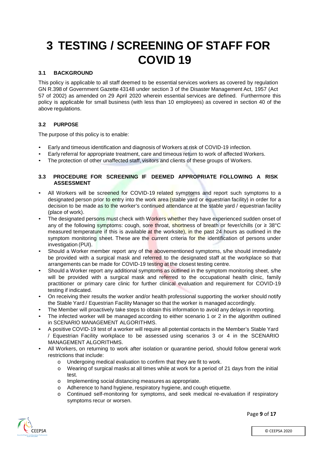# **3 TESTING / SCREENING OF STAFF FOR COVID 19**

# **3.1 BACKGROUND**

This policy is applicable to all staff deemed to be essential services workers as covered by regulation GN R.398 of Government Gazette 43148 under section 3 of the Disaster Management Act, 1957 (Act 57 of 2002) as amended on 29 April 2020 wherein essential services are defined. Furthermore this policy is applicable for small business (with less than 10 employees) as covered in section 40 of the above regulations.

# **3.2 PURPOSE**

The purpose of this policy is to enable:

- Early and timeous identification and diagnosis of Workers at risk of COVID-19 infection.
- Early referral for appropriate treatment, care and timeous return to work of affected Workers.
- The protection of other unaffected staff, visitors and clients of these groups of Workers.

# **3.3 PROCEDURE FOR SCREENING IF DEEMED APPROPRIATE FOLLOWING A RISK ASSESSMENT**

- All Workers will be screened for COVID-19 related symptoms and report such symptoms to a designated person prior to entry into the work area (stable yard or equestrian facility) in order for a decision to be made as to the worker's continued attendance at the stable yard / equestrian facility (place of work).
- The designated persons must check with Workers whether they have experienced sudden onset of any of the following symptoms: cough, sore throat, shortness of breath or fever/chills (or ≥ 38°C measured temperature if this is available at the worksite), in the past 24 hours as outlined in the symptom monitoring sheet. These are the current criteria for the identification of persons under investigation (PUI).
- Should a Worker member report any of the abovementioned symptoms, s/he should immediately be provided with a surgical mask and referred to the designated staff at the workplace so that arrangements can be made for COVID-19 testing at the closest testing centre.
- Should a Worker report any additional symptoms as outlined in the symptom monitoring sheet, s/he will be provided with a surgical mask and referred to the occupational health clinic, family practitioner or primary care clinic for further clinical evaluation and requirement for COVID-19 testing if indicated.
- On receiving their results the worker and/or health professional supporting the worker should notify the Stable Yard / Equestrian Facility Manager so that the worker is managed accordingly.
- The Member will proactively take steps to obtain this information to avoid any delays in reporting.
- The infected worker will be managed according to either scenario 1 or 2 in the algorithm outlined in SCENARIO MANAGEMENT ALGORITHMS.
- A positive COVID-19 test of a worker will require all potential contacts in the Member's Stable Yard / Equestrian Facility workplace to be assessed using scenarios 3 or 4 in the SCENARIO MANAGEMENT ALGORITHMS.
- All Workers, on returning to work after isolation or quarantine period, should follow general work restrictions that include:
	- o Undergoing medical evaluation to confirm that they are fit to work.
	- o Wearing of surgical masks at all times while at work for a period of 21 days from the initial test.
	- o Implementing social distancing measures as appropriate.
	- o Adherence to hand hygiene, respiratory hygiene, and cough etiquette.
	- o Continued self-monitoring for symptoms, and seek medical re-evaluation if respiratory symptoms recur or worsen.

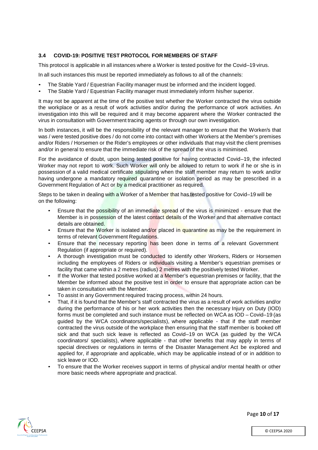# **3.4 COVID-19: POSITIVE TEST PROTOCOL FOR MEMBERS OF STAFF**

This protocol is applicable in all instances where a Worker is tested positive for the Covid–19 virus.

In all such instances this must be reported immediately as follows to all of the channels:

- The Stable Yard / Equestrian Facility manager must be informed and the incident logged.
- The Stable Yard / Equestrian Facility manager must immediately inform his/her superior.

It may not be apparent at the time of the positive test whether the Worker contracted the virus outside the workplace or as a result of work activities and/or during the performance of work activities. An investigation into this will be required and it may become apparent where the Worker contracted the virus in consultation with Government tracing agents or through our own investigation.

In both instances, it will be the responsibility of the relevant manager to ensure that the Worker/s that was / were tested positive does / do not come into contact with other Workers at the Member's premises and/or Riders / Horsemen or the Rider's employees or other individuals that may visit the client premises and/or in general to ensure that the immediate risk of the spread of the virus is minimised.

For the avoidance of doubt, upon being tested positive for having contracted Covid–19, the infected Worker may not report to work. Such Worker will only be allowed to return to work if he or she is in possession of a valid medical certificate stipulating when the staff member may return to work and/or having undergone a mandatory required quarantine or isolation period as may be prescribed in a Government Regulation of Act or by a medical practitioner as required.

Steps to be taken in dealing with a Worker of a Member that has tested positive for Covid-19 will be on the following:

- Ensure that the possibility of an immediate spread of the virus is minimized ensure that the Member is in possession of the latest contact details of the Worker and that alternative contact details are obtained.
- Ensure that the Worker is isolated and/or placed in quarantine as may be the requirement in terms of relevant Government Regulations.
- Ensure that the necessary reporting has been done in terms of a relevant Government Regulation (if appropriate or required).
- A thorough investigation must be conducted to identify other Workers, Riders or Horsemen including the employees of Riders or individuals visiting a Member's equestrian premises or facility that came within a 2 metres (radius) 2 metres with the positively tested Worker.
- If the Worker that tested positive worked at a Member's equestrian premises or facility, that the Member be informed about the positive test in order to ensure that appropriate action can be taken in consultation with the Member.
- To assist in any Government required tracing process, within 24 hours.
- That, if it is found that the Member's staff contracted the virus as a result of work activities and/or during the performance of his or her work activities then the necessary Injury on Duty (IOD) forms must be completed and such instance must be reflected on WCA as IOD – Covid–19 (as guided by the WCA coordinators/specialists), where applicable - that if the staff member contracted the virus outside of the workplace then ensuring that the staff member is booked off sick and that such sick leave is reflected as Covid–19 on WCA (as guided by the WCA coordinators/ specialists), where applicable - that other benefits that may apply in terms of special directives or regulations in terms of the Disaster Management Act be explored and applied for, if appropriate and applicable, which may be applicable instead of or in addition to sick leave or IOD.
- To ensure that the Worker receives support in terms of physical and/or mental health or other more basic needs where appropriate and practical.



Page **10** of **17**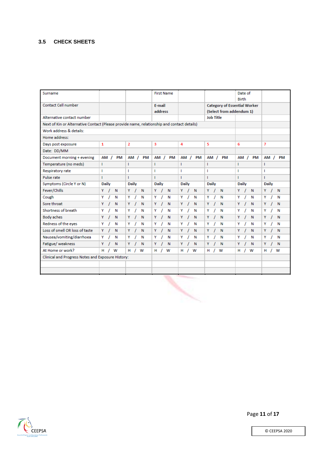# **3.5 CHECK SHEETS**

| Surname                                                                                    |                    |                   | <b>First Name</b> |                 |                                     | Date of<br><b>Birth</b> |                    |
|--------------------------------------------------------------------------------------------|--------------------|-------------------|-------------------|-----------------|-------------------------------------|-------------------------|--------------------|
| Contact Cell number                                                                        |                    |                   | E-mail            |                 | <b>Category of Essential Worker</b> |                         |                    |
|                                                                                            |                    |                   | address           |                 | (Select from addendum 1)            |                         |                    |
| Alternative contact number                                                                 |                    |                   |                   |                 | <b>Job Title</b>                    |                         |                    |
| Next of Kin or Alternative Contact (Please provide name, relationship and contact details) |                    |                   |                   |                 |                                     |                         |                    |
| Work address & details:                                                                    |                    |                   |                   |                 |                                     |                         |                    |
| Home address:                                                                              |                    |                   |                   |                 |                                     |                         |                    |
| Days post exposure                                                                         | 1                  | $\overline{2}$    | 3                 | 4               | 5                                   | 6                       | 7                  |
| Date: DD/MM                                                                                |                    |                   |                   |                 |                                     |                         |                    |
| Document morning + evening                                                                 | $AM$ /<br>PM       | <b>PM</b><br>AM / | $AM$ /<br>PM      | PM<br>$AM$ /    | PM<br>$AM$ /                        | PM<br>AM /              | AM / PM            |
| Temperature (no meds)                                                                      | т                  | т                 | т                 |                 | т.                                  | т                       | $\mathbf{L}$       |
| Respiratory rate                                                                           | ٠                  |                   | п                 | п               |                                     | т                       |                    |
| Pulse rate                                                                                 | п                  | т                 | п                 | T.              | т.                                  | T.                      | $\mathbf{L}$       |
| Symptoms (Circle Y or N)                                                                   | <b>Daily</b>       | <b>Daily</b>      | <b>Daily</b>      | <b>Daily</b>    | <b>Daily</b>                        | <b>Daily</b>            | <b>Daily</b>       |
| Fever/Chills                                                                               | Y<br>$\prime$<br>N | Y<br>N            | Y<br>N            | N<br>Y /        | N<br>Y                              | $Y$ /<br>N              | Y/I<br>N           |
| Cough                                                                                      | Y<br>N             | Y<br>N            | Y<br>N            | Y<br>N          | Ν<br>Y                              | Y<br>N                  | Y<br>N             |
| Sore throat                                                                                | Υ<br>N             | Y<br>N            | Υ<br>N            | N<br>Y          | N<br>Y                              | 1<br>Υ<br>N             | Y<br>1<br>N        |
| Shortness of breath                                                                        | Y<br>7<br>Ν        | Y<br>N            | Y<br>N            | N<br>Y          | Y<br>N                              | Υ<br>1<br>N             | Υ<br>N<br>7        |
| Body aches                                                                                 | Y<br>Ν             | Y<br>N            | Y<br>N            | N<br>Y          | Y<br>N                              | 7<br>N<br>Υ             | Y<br>N<br>$\prime$ |
| Redness of the eyes                                                                        | Υ<br>N             | Y<br>Ν            | Υ<br>Ν            | Ν<br>Υ          | Ν<br>Y                              | Υ<br>N                  | N<br>Υ             |
| Loss of smell OR loss of taste                                                             | Y /<br>N           | Y<br>N            | Y<br>N            | N<br>Y          | N<br>Y                              | Y<br>N                  | N<br>Y             |
| Nausea/vomiting/diarrhoea                                                                  | N<br>Y<br>$\prime$ | Y<br>N            | Υ<br>N            | N<br>Y          | N<br>Y                              | Y<br>7<br>N             | N<br>Y<br>$\prime$ |
| Fatigue/weakness                                                                           | Y<br>$\prime$<br>N | N<br>Y            | Y<br>N            | N<br>Y          | N<br>Y<br>$\prime$                  | 1<br>Y<br>N             | $\prime$<br>N<br>Y |
| At Home or work?                                                                           | $H$ /<br>w         | $H$ /<br>w        | w<br>$H$ /        | H $\prime$<br>W | H /<br>w                            | н.<br>w<br>$\prime$     | w<br>H /           |
| Clinical and Progress Notes and Exposure History:                                          |                    |                   |                   |                 |                                     |                         |                    |
|                                                                                            |                    |                   |                   |                 |                                     |                         |                    |
|                                                                                            |                    |                   |                   |                 |                                     |                         |                    |
|                                                                                            |                    |                   |                   |                 |                                     |                         |                    |





Page **11** of **17**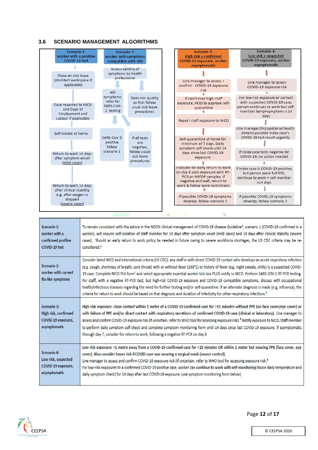#### **3.6 SCENARIO MANAGEMENT ALGORITHMS**



| Scenario 1:<br>worker with a<br>confirmed positive<br>COVID-19 test       | To remain consistent with the advice in the NDOH clinical management of COVID-19 disease Guideline <sup>3</sup> , scenario 1 (COVID-19 confirmed in a<br>worker), will require self-isolation of staff member for 14 days after symptom onset (mild cases) and 14 days after clinical stability (severe<br>cases). Should an early return to work policy be needed in future owing to severe workforce shortages, the US CDC criteria may be re-<br>considered. <sup>1</sup>                                                                                                                                                                                                                                                                                                                                                                                                                           |
|---------------------------------------------------------------------------|--------------------------------------------------------------------------------------------------------------------------------------------------------------------------------------------------------------------------------------------------------------------------------------------------------------------------------------------------------------------------------------------------------------------------------------------------------------------------------------------------------------------------------------------------------------------------------------------------------------------------------------------------------------------------------------------------------------------------------------------------------------------------------------------------------------------------------------------------------------------------------------------------------|
| Scenario 2:<br>worker with current<br>flu-like symptoms                   | Consider latest NICD and international criteria (US CDC): any staff in with direct COVID-19 contact who develops an acute respiratory infection<br>(e.g. cough, shortness of breath, sore throat) with or without fever (238°C) or history of fever (e.g. night sweats, chills) is a suspected COVID-<br>19 case. Complete NICD PUI form <sup>2</sup> and select appropriate essential worker tick box PLUS notify to NICD. Perform SARS-COV-2 RT-PCR testing.<br>For staff, with a negative RT-PCR test, but high-risk COVID-19 exposure and COVID-19 compatible symptoms, discuss with occupational<br>health/infectious diseases regarding the need for further testing and/or self-quarantine. If an alternate diagnosis is made (e.g. influenza), the<br>criteria for return to work should be based on that diagnosis and duration of infectivity for other respiratory infections. <sup>4</sup> |
| Scenario 3:<br>High risk, confirmed<br>COVID-19 exposure,<br>asymptomatic | High risk exposure: close contact within 1 metre of a COVID-19 confirmed case for >15 minutes without PPE (no face cover/eye cover) or<br>with failure of PPE and/or direct contact with respiratory secretions of confirmed COVID-19 case (clinical or laboratory). Line manager to<br>assess and confirm COVID-19 exposure risk (if uncertain, refer to WHO tool for assessing exposure risk). <sup>3</sup> Notify exposure to NICD. Staff member<br>to perform daily symptom self-check and complete symptom monitoring form until 14 days since last COVID-19 exposure. If asymptomatic<br>through day 7, consider for return to work, following a negative RT-PCR on day 8                                                                                                                                                                                                                        |
| Scenario 4:<br>Low risk, suspected<br>COVID-19 exposure,<br>asymptomatic  | Low risk exposure: >1 metre away from a COVID-19 confirmed case for <15 minutes OR within 1 meter but wearing PPE (face cover, eye<br>cover). Also consider lower risk if COVID case was wearing a surgical mask (source control).<br>Line manager to assess and confirm COVID-19 exposure risk (if uncertain, refer to WHO tool for assessing exposure risk. <sup>3</sup><br>For low-risk exposures to a confirmed COVID-19 positive case, worker can continue to work with self-monitoring (twice daily temperature and<br>daily symptom check) for 14 days after last COVID-19 exposure. (use symptom monitoring form below)                                                                                                                                                                                                                                                                        |



Page **12** of **17**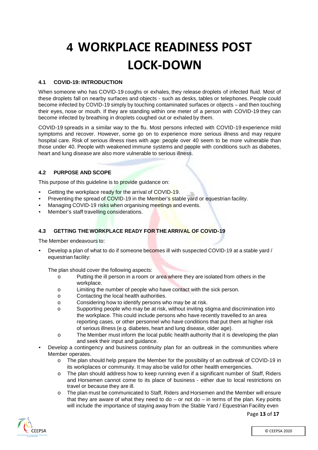# **4 WORKPLACE READINESS POST LOCK-DOWN**

# **4.1 COVID-19: INTRODUCTION**

When someone who has COVID-19 coughs or exhales, they release droplets of infected fluid. Most of these droplets fall on nearby surfaces and objects - such as desks, tables or telephones. People could become infected by COVID-19 simply by touching contaminated surfaces or objects – and then touching their eyes, nose or mouth. If they are standing within one meter of a person with COVID-19 they can become infected by breathing in droplets coughed out or exhaled by them.

COVID-19 spreads in a similar way to the flu. Most persons infected with COVID-19 experience mild symptoms and recover. However, some go on to experience more serious illness and may require hospital care. Risk of serious illness rises with age: people over 40 seem to be more vulnerable than those under 40. People with weakened immune systems and people with conditions such as diabetes, heart and lung disease are also more vulnerable to serious illness.

# **4.2 PURPOSE AND SCOPE**

This purpose of this guideline is to provide guidance on:

- Getting the workplace ready for the arrival of COVID-19.
- Preventing the spread of COVID-19 in the Member's stable yard or equestrian facility.
- Managing COVID-19 risks when organising meetings and events.
- Member's staff travelling considerations.

# **4.3 GETTING THE WORKPLACE READY FOR THE ARRIVAL OF COVID-19**

The Member endeavours to:

• Develop a plan of what to do if someone becomes ill with suspected COVID-19 at a stable yard / equestrian facility:

The plan should cover the following aspects:

- o Putting the ill person in a room or area where they are isolated from others in the workplace.
- o Limiting the number of people who have contact with the sick person.
- o Contacting the local health authorities.
- o Considering how to identify persons who may be at risk.
- o Supporting people who may be at risk, without inviting stigma and discrimination into the workplace. This could include persons who have recently travelled to an area reporting cases, or other personnel who have conditions that put them at higher risk of serious illness (e.g. diabetes, heart and lung disease, older age).
- o The Member must inform the local public health authority that it is developing the plan and seek their input and guidance.
- Develop a contingency and business continuity plan for an outbreak in the communities where Member operates.
	- o The plan should help prepare the Member for the possibility of an outbreak of COVID-19 in its workplaces or community. It may also be valid for other health emergencies.
	- o The plan should address how to keep running even if a significant number of Staff, Riders and Horsemen cannot come to its place of business - either due to local restrictions on travel or because they are ill.
	- The plan must be communicated to Staff, Riders and Horsemen and the Member will ensure that they are aware of what they need to  $do - or$  not  $do - in$  terms of the plan. Key points will include the importance of staying away from the Stable Yard / Equestrian Facility even

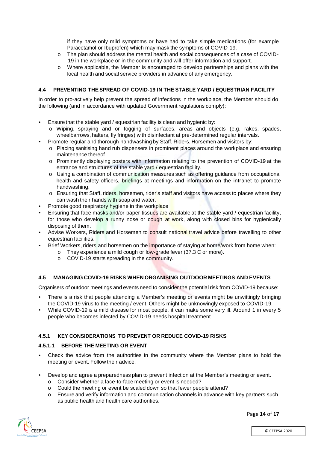if they have only mild symptoms or have had to take simple medications (for example Paracetamol or Ibuprofen) which may mask the symptoms of COVID-19.

- o The plan should address the mental health and social consequences of a case of COVID-19 in the workplace or in the community and will offer information and support.
- o Where applicable, the Member is encouraged to develop partnerships and plans with the local health and social service providers in advance of any emergency.

# **4.4 PREVENTING THESPREAD OF COVID-19 IN THE STABLE YARD / EQUESTRIAN FACILITY**

In order to pro-actively help prevent the spread of infections in the workplace, the Member should do the following (and in accordance with updated Government regulations comply):

- Ensure that the stable yard / equestrian facility is clean and hygienic by:
	- o Wiping, spraying and or fogging of surfaces, areas and objects (e.g. rakes, spades, wheelbarrows, halters, fly fringes) with disinfectant at pre-determined regular intervals.
- Promote regular and thorough handwashing by Staff, Riders, Horsemen and visitors by:
	- o Placing sanitising hand rub dispensers in prominent places around the workplace and ensuring maintenance thereof.
	- o Prominently displaying posters with information relating to the prevention of COVID-19 at the entrance and structures of the stable yard / equestrian facility.
	- o Using a combination of communication measures such as offering guidance from occupational health and safety officers, briefings at meetings and information on the intranet to promote handwashing.
	- $\circ$  Ensuring that Staff, riders, horsemen, rider's staff and visitors have access to places where they can wash their hands with soap and water.
- Promote good respiratory hygiene in the workplace
- Ensuring that face masks and/or paper tissues are available at the stable yard / equestrian facility, for those who develop a runny nose or cough at work, along with closed bins for hygienically disposing of them.
- Advise Workers, Riders and Horsemen to consult national travel advice before travelling to other equestrian facilities.
- Brief Workers, riders and horsemen on the importance of staying at home/work from home when:
	- $\circ$  They experience a mild cough or low-grade fever (37.3 C or more).
		- o COVID-19 starts spreading in the community.

### **4.5 MANAGING COVID-19 RISKS WHEN ORGANISING OUTDOOR MEETINGS AND EVENTS**

Organisers of outdoor meetings and events need to consider the potential risk from COVID-19 because:

- There is a risk that people attending a Member's meeting or events might be unwittingly bringing the COVID-19 virus to the meeting / event. Others might be unknowingly exposed to COVID-19.
- While COVID-19 is a mild disease for most people, it can make some very ill. Around 1 in every 5 people who becomes infected by COVID-19 needs hospital treatment.

### **4.5.1 KEY CONSIDERATIONS TO PREVENT OR REDUCE COVID-19 RISKS**

### **4.5.1.1 BEFORE THE MEETING OR EVENT**

- Check the advice from the authorities in the community where the Member plans to hold the meeting or event. Follow their advice.
- Develop and agree a preparedness plan to prevent infection at the Member's meeting or event.
	- o Consider whether a face-to-face meeting or event is needed?
	- o Could the meeting or event be scaled down so that fewer people attend?<br> **Ensure and verify information and communication channels in advance w**
	- Ensure and verify information and communication channels in advance with key partners such as public health and health care authorities.

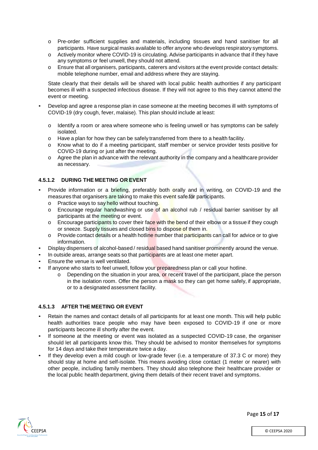- o Pre-order sufficient supplies and materials, including tissues and hand sanitiser for all participants. Have surgical masks available to offer anyone who develops respiratory symptoms.
- o Actively monitor where COVID-19 is circulating. Advise participants in advance that if they have any symptoms or feel unwell, they should not attend.
- o Ensure that all organisers, participants, caterers and visitors at the event provide contact details: mobile telephone number, email and address where they are staying.

State clearly that their details will be shared with local public health authorities if any participant becomes ill with a suspected infectious disease. If they will not agree to this they cannot attend the event or meeting.

- Develop and agree a response plan in case someone at the meeting becomes ill with symptoms of COVID-19 (dry cough, fever, malaise). This plan should include at least:
	- o Identify a room or area where someone who is feeling unwell or has symptoms can be safely isolated.
	- $\circ$  Have a plan for how they can be safely transferred from there to a health facility.
	- o Know what to do if a meeting participant, staff member or service provider tests positive for COVID-19 during or just after the meeting.
	- $\circ$  Agree the plan in advance with the relevant authority in the company and a healthcare provider as necessary.

### **4.5.1.2 DURING THE MEETING OR EVENT**

- Provide information or a briefing, preferably both orally and in writing, on COVID-19 and the measures that organisers are taking to make this event safe for participants.
	- o Practice ways to say hello without touching.
	- o Encourage regular handwashing or use of an alcohol rub / residual barrier sanitiser by all participants at the meeting or event.
	- o Encourage participants to cover their face with the bend of their elbow or a tissue if they cough or sneeze. Supply tissues and closed bins to dispose of them in.
	- $\circ$  Provide contact details or a health hotline number that participants can call for advice or to give information.
- Display dispensers of alcohol-based / residual based hand sanitiser prominently around the venue.
- In outside areas, arrange seats so that participants are at least one meter apart.
- Ensure the venue is well ventilated.
- If anyone who starts to feel unwell, follow your preparedness plan or call your hotline.
	- o Depending on the situation in your area, or recent travel of the participant, place the person in the isolation room. Offer the person a mask so they can get home safely, if appropriate, or to a designated assessment facility.

### **4.5.1.3 AFTER THE MEETING OR EVENT**

- Retain the names and contact details of all participants for at least one month. This will help public health authorities trace people who may have been exposed to COVID-19 if one or more participants become ill shortly after the event.
- If someone at the meeting or event was isolated as a suspected COVID-19 case, the organiser should let all participants know this. They should be advised to monitor themselves for symptoms for 14 days and take their temperature twice a day.
- If they develop even a mild cough or low-grade fever (i.e. a temperature of 37.3 C or more) they should stay at home and self-isolate. This means avoiding close contact (1 meter or nearer) with other people, including family members. They should also telephone their healthcare provider or the local public health department, giving them details of their recent travel and symptoms.



Page **15** of **17**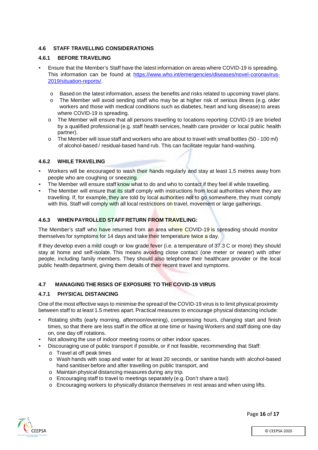# **4.6 STAFF TRAVELLING CONSIDERATIONS**

# **4.6.1 BEFORE TRAVELING**

- Ensure that the Member's Staff have the latest information on areas where COVID-19 is spreading. This information can be found at [https://www.who.int/emergencies/diseases/novel-coronavirus-](https://www.who.int/emergencies/diseases/novel-coronavirus-2019/situation-reports/)[2019/situation-reports/.](https://www.who.int/emergencies/diseases/novel-coronavirus-2019/situation-reports/)
	- o Based on the latest information, assess the benefits and risks related to upcoming travel plans.
	- o The Member will avoid sending staff who may be at higher risk of serious illness (e.g. older workers and those with medical conditions such as diabetes, heart and lung disease) to areas where COVID-19 is spreading.
	- The Member will ensure that all persons travelling to locations reporting COVID-19 are briefed by a qualified professional (e.g. staff health services, health care provider or local public health partner).
	- o The Member will issue staff and workers who are about to travel with small bottles (50 100 ml) of alcohol-based / residual-based hand rub. This can facilitate regular hand-washing.

# **4.6.2 WHILE TRAVELING**

- Workers will be encouraged to wash their hands regularly and stay at least 1.5 metres away from people who are coughing or sneezing.
- The Member will ensure staff know what to do and who to contact if they feel ill while travelling.
- The Member will ensure that its staff comply with instructions from local authorities where they are travelling. If, for example, they are told by local authorities not to go somewhere, they must comply with this. Staff will comply with all local restrictions on travel, movement or large gatherings.

# **4.6.3 WHEN PAYROLLED STAFF RETURN FROM TRAVELING:**

The Member's staff who have returned from an area where COVID-19 is spreading should monitor themselves for symptoms for 14 days and take their temperature twice a day.

If they develop even a mild cough or low grade fever (i.e. a temperature of 37.3 C or more) they should stay at home and self-isolate. This means avoiding close contact (one meter or nearer) with other people, including family members. They should also telephone their healthcare provider or the local public health department, giving them details of their recent travel and symptoms.

# **4.7 MANAGING THE RISKS OF EXPOSURE TO THE COVID-19 VIRUS**

### **4.7.1 PHYSICAL DISTANCING**

One of the most effective ways to minimise the spread of the COVID-19 virus is to limit physical proximity between staff to at least 1.5 metres apart. Practical measures to encourage physical distancing include:

- Rotating shifts (early morning, afternoon/evening), compressing hours, changing start and finish times, so that there are less staff in the office at one time or having Workers and staff doing one day on, one day off rotations.
- Not allowing the use of indoor meeting rooms or other indoor spaces.
	- Discouraging use of public transport if possible, or if not feasible, recommending that Staff:
		- o Travel at off peak times
		- o Wash hands with soap and water for at least 20 seconds, or sanitise hands with alcohol-based hand sanitiser before and after travelling on public transport, and
		- o Maintain physical distancing measures during any trip.
		- o Encouraging staff to travel to meetings separately (e.g. Don't share a taxi)
		- o Encouraging workers to physically distance themselves in rest areas and when using lifts.